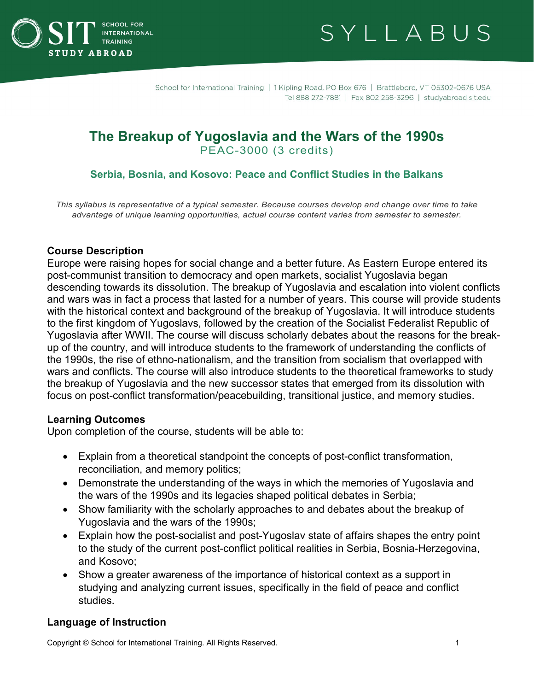



# **The Breakup of Yugoslavia and the Wars of the 1990s** PEAC-3000 (3 credits)

## **Serbia, Bosnia, and Kosovo: Peace and Conflict Studies in the Balkans**

*This syllabus is representative of a typical semester. Because courses develop and change over time to take advantage of unique learning opportunities, actual course content varies from semester to semester.*

#### **Course Description**

Europe were raising hopes for social change and a better future. As Eastern Europe entered its post-communist transition to democracy and open markets, socialist Yugoslavia began descending towards its dissolution. The breakup of Yugoslavia and escalation into violent conflicts and wars was in fact a process that lasted for a number of years. This course will provide students with the historical context and background of the breakup of Yugoslavia. It will introduce students to the first kingdom of Yugoslavs, followed by the creation of the Socialist Federalist Republic of Yugoslavia after WWII. The course will discuss scholarly debates about the reasons for the breakup of the country, and will introduce students to the framework of understanding the conflicts of the 1990s, the rise of ethno-nationalism, and the transition from socialism that overlapped with wars and conflicts. The course will also introduce students to the theoretical frameworks to study the breakup of Yugoslavia and the new successor states that emerged from its dissolution with focus on post-conflict transformation/peacebuilding, transitional justice, and memory studies.

#### **Learning Outcomes**

Upon completion of the course, students will be able to:

- Explain from a theoretical standpoint the concepts of post-conflict transformation, reconciliation, and memory politics;
- Demonstrate the understanding of the ways in which the memories of Yugoslavia and the wars of the 1990s and its legacies shaped political debates in Serbia;
- Show familiarity with the scholarly approaches to and debates about the breakup of Yugoslavia and the wars of the 1990s;
- Explain how the post-socialist and post-Yugoslav state of affairs shapes the entry point to the study of the current post-conflict political realities in Serbia, Bosnia-Herzegovina, and Kosovo;
- Show a greater awareness of the importance of historical context as a support in studying and analyzing current issues, specifically in the field of peace and conflict studies.

## **Language of Instruction**

Copyright © School for International Training. All Rights Reserved. 1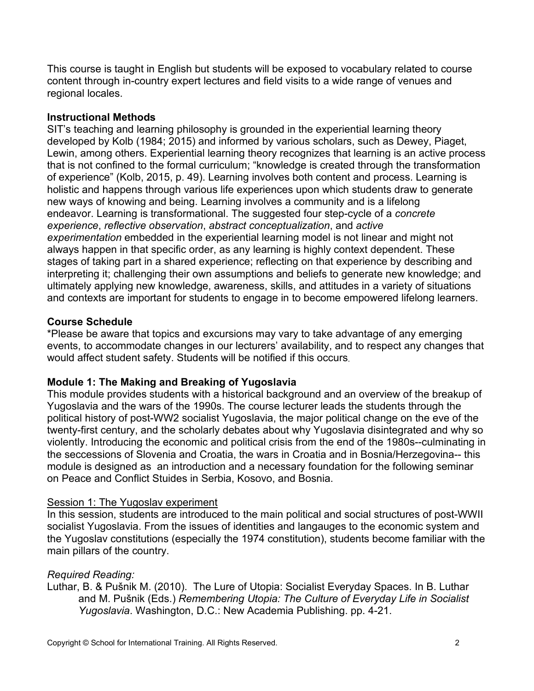This course is taught in English but students will be exposed to vocabulary related to course content through in-country expert lectures and field visits to a wide range of venues and regional locales.

## **Instructional Methods**

SIT's teaching and learning philosophy is grounded in the experiential learning theory developed by Kolb (1984; 2015) and informed by various scholars, such as Dewey, Piaget, Lewin, among others. Experiential learning theory recognizes that learning is an active process that is not confined to the formal curriculum; "knowledge is created through the transformation of experience" (Kolb, 2015, p. 49). Learning involves both content and process. Learning is holistic and happens through various life experiences upon which students draw to generate new ways of knowing and being. Learning involves a community and is a lifelong endeavor. Learning is transformational. The suggested four step-cycle of a *concrete experience*, *reflective observation*, *abstract conceptualization*, and *active experimentation* embedded in the experiential learning model is not linear and might not always happen in that specific order, as any learning is highly context dependent. These stages of taking part in a shared experience; reflecting on that experience by describing and interpreting it; challenging their own assumptions and beliefs to generate new knowledge; and ultimately applying new knowledge, awareness, skills, and attitudes in a variety of situations and contexts are important for students to engage in to become empowered lifelong learners.

## **Course Schedule**

\*Please be aware that topics and excursions may vary to take advantage of any emerging events, to accommodate changes in our lecturers' availability, and to respect any changes that would affect student safety. Students will be notified if this occurs.

## **Module 1: The Making and Breaking of Yugoslavia**

This module provides students with a historical background and an overview of the breakup of Yugoslavia and the wars of the 1990s. The course lecturer leads the students through the political history of post-WW2 socialist Yugoslavia, the major political change on the eve of the twenty-first century, and the scholarly debates about why Yugoslavia disintegrated and why so violently. Introducing the economic and political crisis from the end of the 1980s--culminating in the seccessions of Slovenia and Croatia, the wars in Croatia and in Bosnia/Herzegovina-- this module is designed as an introduction and a necessary foundation for the following seminar on Peace and Conflict Stuides in Serbia, Kosovo, and Bosnia.

## Session 1: The Yugoslav experiment

In this session, students are introduced to the main political and social structures of post-WWII socialist Yugoslavia. From the issues of identities and langauges to the economic system and the Yugoslav constitutions (especially the 1974 constitution), students become familiar with the main pillars of the country.

## *Required Reading:*

Luthar, B. & Pušnik M. (2010). The Lure of Utopia: Socialist Everyday Spaces. In B. Luthar and M. Pušnik (Eds.) *Remembering Utopia: The Culture of Everyday Life in Socialist Yugoslavia*. Washington, D.C.: New Academia Publishing. pp. 4-21.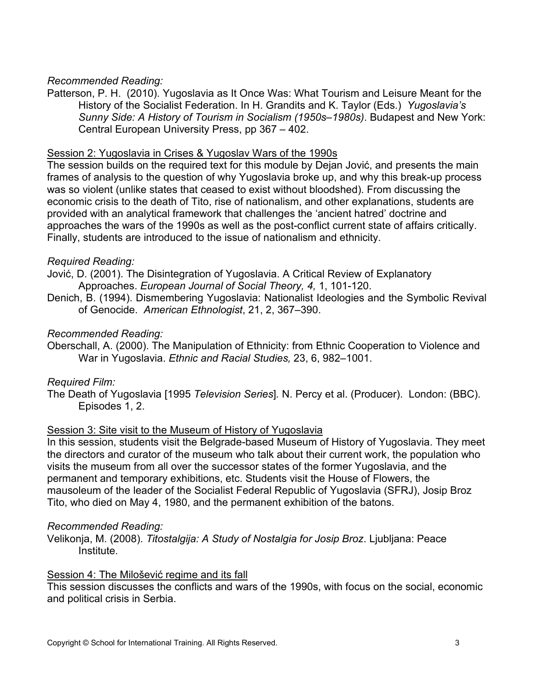## *Recommended Reading:*

Patterson, P. H. (2010). Yugoslavia as It Once Was: What Tourism and Leisure Meant for the History of the Socialist Federation. In H. Grandits and K. Taylor (Eds.) *Yugoslavia's Sunny Side: A History of Tourism in Socialism (1950s–1980s)*. Budapest and New York: Central European University Press, pp 367 – 402.

## Session 2: Yugoslavia in Crises & Yugoslav Wars of the 1990s

The session builds on the required text for this module by Dejan Jović, and presents the main frames of analysis to the question of why Yugoslavia broke up, and why this break-up process was so violent (unlike states that ceased to exist without bloodshed). From discussing the economic crisis to the death of Tito, rise of nationalism, and other explanations, students are provided with an analytical framework that challenges the 'ancient hatred' doctrine and approaches the wars of the 1990s as well as the post-conflict current state of affairs critically. Finally, students are introduced to the issue of nationalism and ethnicity.

## *Required Reading:*

Jović, D. (2001). The Disintegration of Yugoslavia. A Critical Review of Explanatory Approaches. *European Journal of Social Theory, 4,* 1, 101-120.

Denich, B. (1994). Dismembering Yugoslavia: Nationalist Ideologies and the Symbolic Revival of Genocide. *American Ethnologist*, 21, 2, 367–390.

## *Recommended Reading:*

Oberschall, A. (2000). The Manipulation of Ethnicity: from Ethnic Cooperation to Violence and War in Yugoslavia. *Ethnic and Racial Studies,* 23, 6, 982–1001.

## *Required Film:*

The Death of Yugoslavia [1995 *Television Series*]*.* N. Percy et al. (Producer). London: (BBC). Episodes 1, 2.

## Session 3: Site visit to the Museum of History of Yugoslavia

In this session, students visit the Belgrade-based Museum of History of Yugoslavia. They meet the directors and curator of the museum who talk about their current work, the population who visits the museum from all over the successor states of the former Yugoslavia, and the permanent and temporary exhibitions, etc. Students visit the House of Flowers, the mausoleum of the leader of the Socialist Federal Republic of Yugoslavia (SFRJ), Josip Broz Tito, who died on May 4, 1980, and the permanent exhibition of the batons.

## *Recommended Reading:*

Velikonja, M. (2008). *Titostalgija: A Study of Nostalgia for Josip Broz*. Ljubljana: Peace Institute.

## Session 4: The Milošević regime and its fall

This session discusses the conflicts and wars of the 1990s, with focus on the social, economic and political crisis in Serbia.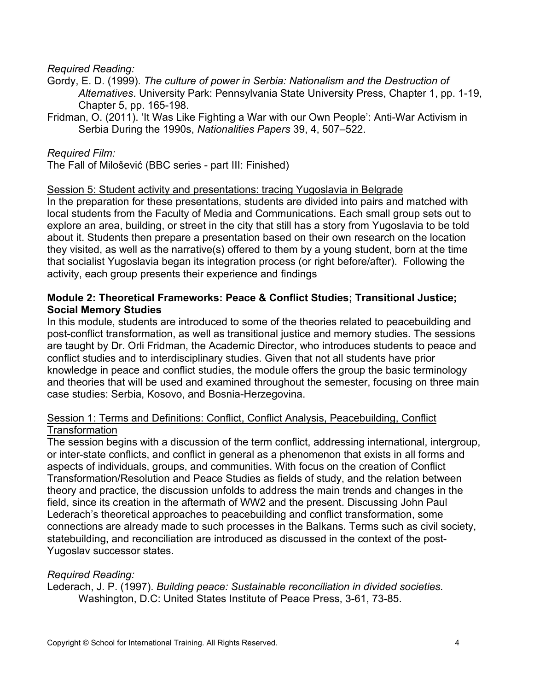### *Required Reading:*

- Gordy, E. D. (1999). *The culture of power in Serbia: Nationalism and the Destruction of Alternatives*. University Park: Pennsylvania State University Press, Chapter 1, pp. 1-19, Chapter 5, pp. 165-198.
- Fridman, O. (2011). 'It Was Like Fighting a War with our Own People': Anti-War Activism in Serbia During the 1990s, *Nationalities Papers* 39, 4, 507–522.

### *Required Film:*

The Fall of Milošević (BBC series - part III: Finished)

#### Session 5: Student activity and presentations: tracing Yugoslavia in Belgrade

In the preparation for these presentations, students are divided into pairs and matched with local students from the Faculty of Media and Communications. Each small group sets out to explore an area, building, or street in the city that still has a story from Yugoslavia to be told about it. Students then prepare a presentation based on their own research on the location they visited, as well as the narrative(s) offered to them by a young student, born at the time that socialist Yugoslavia began its integration process (or right before/after). Following the activity, each group presents their experience and findings

#### **Module 2: Theoretical Frameworks: Peace & Conflict Studies; Transitional Justice; Social Memory Studies**

In this module, students are introduced to some of the theories related to peacebuilding and post-conflict transformation, as well as transitional justice and memory studies. The sessions are taught by Dr. Orli Fridman, the Academic Director, who introduces students to peace and conflict studies and to interdisciplinary studies. Given that not all students have prior knowledge in peace and conflict studies, the module offers the group the basic terminology and theories that will be used and examined throughout the semester, focusing on three main case studies: Serbia, Kosovo, and Bosnia-Herzegovina.

#### Session 1: Terms and Definitions: Conflict, Conflict Analysis, Peacebuilding, Conflict Transformation

The session begins with a discussion of the term conflict, addressing international, intergroup, or inter-state conflicts, and conflict in general as a phenomenon that exists in all forms and aspects of individuals, groups, and communities. With focus on the creation of Conflict Transformation/Resolution and Peace Studies as fields of study, and the relation between theory and practice, the discussion unfolds to address the main trends and changes in the field, since its creation in the aftermath of WW2 and the present. Discussing John Paul Lederach's theoretical approaches to peacebuilding and conflict transformation, some connections are already made to such processes in the Balkans. Terms such as civil society, statebuilding, and reconciliation are introduced as discussed in the context of the post-Yugoslav successor states.

#### *Required Reading:*

Lederach, J. P. (1997). *Building peace: Sustainable reconciliation in divided societies.*  Washington, D.C: United States Institute of Peace Press, 3-61, 73-85.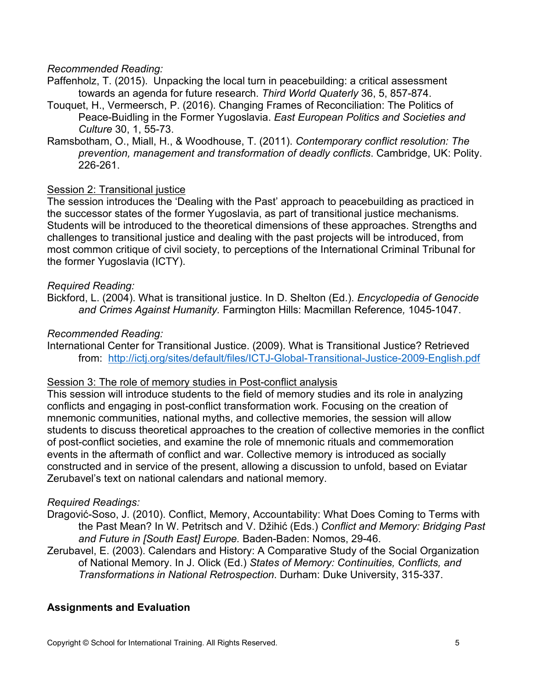## *Recommended Reading:*

- Paffenholz, T. (2015). Unpacking the local turn in peacebuilding: a critical assessment towards an agenda for future research. *Third World Quaterly* 36, 5, 857-874.
- Touquet, H., Vermeersch, P. (2016). Changing Frames of Reconciliation: The Politics of Peace-Buidling in the Former Yugoslavia. *East European Politics and Societies and Culture* 30, 1, 55-73.
- Ramsbotham, O., Miall, H., & Woodhouse, T. (2011). *Contemporary conflict resolution: The prevention, management and transformation of deadly conflicts*. Cambridge, UK: Polity. 226-261.

#### Session 2: Transitional justice

The session introduces the 'Dealing with the Past' approach to peacebuilding as practiced in the successor states of the former Yugoslavia, as part of transitional justice mechanisms. Students will be introduced to the theoretical dimensions of these approaches. Strengths and challenges to transitional justice and dealing with the past projects will be introduced, from most common critique of civil society, to perceptions of the International Criminal Tribunal for the former Yugoslavia (ICTY).

#### *Required Reading:*

Bickford, L. (2004). What is transitional justice. In D. Shelton (Ed.). *Encyclopedia of Genocide and Crimes Against Humanity.* Farmington Hills: Macmillan Reference*,* 1045-1047.

#### *Recommended Reading:*

International Center for Transitional Justice. (2009). What is Transitional Justice? Retrieved from: <http://ictj.org/sites/default/files/ICTJ-Global-Transitional-Justice-2009-English.pdf>

#### Session 3: The role of memory studies in Post-conflict analysis

This session will introduce students to the field of memory studies and its role in analyzing conflicts and engaging in post-conflict transformation work. Focusing on the creation of mnemonic communities, national myths, and collective memories, the session will allow students to discuss theoretical approaches to the creation of collective memories in the conflict of post-conflict societies, and examine the role of mnemonic rituals and commemoration events in the aftermath of conflict and war. Collective memory is introduced as socially constructed and in service of the present, allowing a discussion to unfold, based on Eviatar Zerubavel's text on national calendars and national memory.

#### *Required Readings:*

- Dragović-Soso, J. (2010). Conflict, Memory, Accountability: What Does Coming to Terms with the Past Mean? In W. Petritsch and V. Džihić (Eds.) *Conflict and Memory: Bridging Past and Future in [South East] Europe.* Baden-Baden: Nomos, 29-46.
- Zerubavel, E. (2003). Calendars and History: A Comparative Study of the Social Organization of National Memory. In J. Olick (Ed.) *States of Memory: Continuities, Conflicts, and Transformations in National Retrospection*. Durham: Duke University, 315-337.

## **Assignments and Evaluation**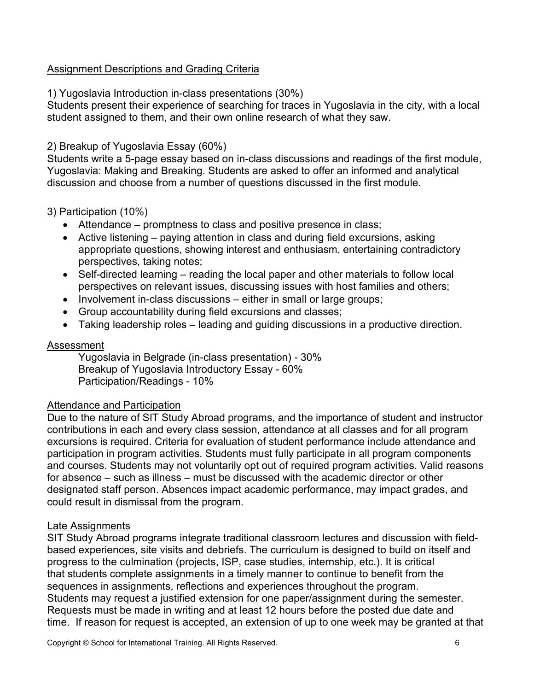## Assignment Descriptions and Grading Criteria

## 1) Yugoslavia Introduction in-class presentations (30%)

Students present their experience of searching for traces in Yugoslavia in the city, with a local student assigned to them, and their own online research of what they saw.

## 2) Breakup of Yugoslavia Essay (60%)

Students write a 5-page essay based on in-class discussions and readings of the first module, Yugoslavia: Making and Breaking. Students are asked to offer an informed and analytical discussion and choose from a number of questions discussed in the first module.

## 3) Participation (10%)

- Attendance promptness to class and positive presence in class;
- Active listening paying attention in class and during field excursions, asking appropriate questions, showing interest and enthusiasm, entertaining contradictory perspectives, taking notes;
- Self-directed learning reading the local paper and other materials to follow local perspectives on relevant issues, discussing issues with host families and others;
- Involvement in-class discussions either in small or large groups;
- Group accountability during field excursions and classes;
- Taking leadership roles leading and guiding discussions in a productive direction.

## Assessment

Yugoslavia in Belgrade (in-class presentation) - 30% Breakup of Yugoslavia Introductory Essay - 60% Participation/Readings - 10%

## Attendance and Participation

Due to the nature of SIT Study Abroad programs, and the importance of student and instructor contributions in each and every class session, attendance at all classes and for all program excursions is required. Criteria for evaluation of student performance include attendance and participation in program activities. Students must fully participate in all program components and courses. Students may not voluntarily opt out of required program activities. Valid reasons for absence – such as illness – must be discussed with the academic director or other designated staff person. Absences impact academic performance, may impact grades, and could result in dismissal from the program.

## Late Assignments

SIT Study Abroad programs integrate traditional classroom lectures and discussion with fieldbased experiences, site visits and debriefs. The curriculum is designed to build on itself and progress to the culmination (projects, ISP, case studies, internship, etc.). It is critical that students complete assignments in a timely manner to continue to benefit from the sequences in assignments, reflections and experiences throughout the program. Students may request a justified extension for one paper/assignment during the semester. Requests must be made in writing and at least 12 hours before the posted due date and time. If reason for request is accepted, an extension of up to one week may be granted at that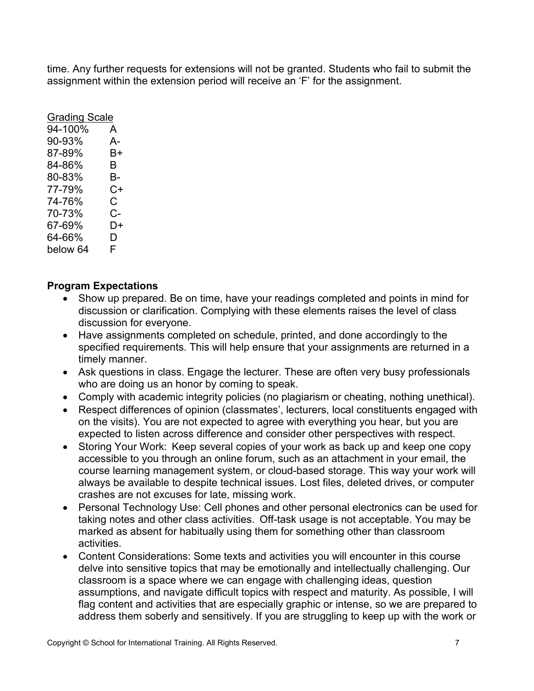time. Any further requests for extensions will not be granted. Students who fail to submit the assignment within the extension period will receive an 'F' for the assignment.

| <b>Grading Scale</b> |    |
|----------------------|----|
| 94-100%              | A  |
| 90-93%               | А- |
| 87-89%               | B+ |
| 84-86%               | B  |
| 80-83%               | B- |
| 77-79%               | C+ |
| 74-76%               | C  |
| 70-73%               | C- |
| 67-69%               | D+ |
| 64-66%               | D  |
| below 64             | F  |

## **Program Expectations**

- Show up prepared. Be on time, have your readings completed and points in mind for discussion or clarification. Complying with these elements raises the level of class discussion for everyone.
- Have assignments completed on schedule, printed, and done accordingly to the specified requirements. This will help ensure that your assignments are returned in a timely manner.
- Ask questions in class. Engage the lecturer. These are often very busy professionals who are doing us an honor by coming to speak.
- Comply with academic integrity policies (no plagiarism or cheating, nothing unethical).
- Respect differences of opinion (classmates', lecturers, local constituents engaged with on the visits). You are not expected to agree with everything you hear, but you are expected to listen across difference and consider other perspectives with respect.
- Storing Your Work: Keep several copies of your work as back up and keep one copy accessible to you through an online forum, such as an attachment in your email, the course learning management system, or cloud-based storage. This way your work will always be available to despite technical issues. Lost files, deleted drives, or computer crashes are not excuses for late, missing work.
- Personal Technology Use: Cell phones and other personal electronics can be used for taking notes and other class activities.  Off-task usage is not acceptable. You may be marked as absent for habitually using them for something other than classroom activities.
- Content Considerations: Some texts and activities you will encounter in this course delve into sensitive topics that may be emotionally and intellectually challenging. Our classroom is a space where we can engage with challenging ideas, question assumptions, and navigate difficult topics with respect and maturity. As possible, I will flag content and activities that are especially graphic or intense, so we are prepared to address them soberly and sensitively. If you are struggling to keep up with the work or